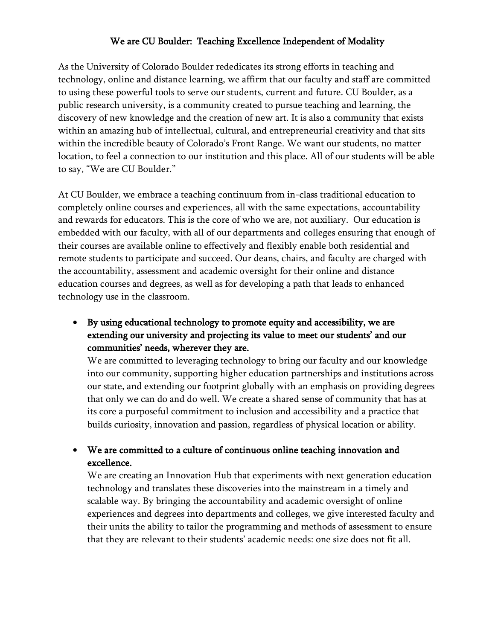## We are CU Boulder: Teaching Excellence Independent of Modality

As the University of Colorado Boulder rededicates its strong efforts in teaching and technology, online and distance learning, we affirm that our faculty and staff are committed to using these powerful tools to serve our students, current and future. CU Boulder, as a public research university, is a community created to pursue teaching and learning, the discovery of new knowledge and the creation of new art. It is also a community that exists within an amazing hub of intellectual, cultural, and entrepreneurial creativity and that sits within the incredible beauty of Colorado's Front Range. We want our students, no matter location, to feel a connection to our institution and this place. All of our students will be able to say, "We are CU Boulder."

At CU Boulder, we embrace a teaching continuum from in-class traditional education to completely online courses and experiences, all with the same expectations, accountability and rewards for educators. This is the core of who we are, not auxiliary. Our education is embedded with our faculty, with all of our departments and colleges ensuring that enough of their courses are available online to effectively and flexibly enable both residential and remote students to participate and succeed. Our deans, chairs, and faculty are charged with the accountability, assessment and academic oversight for their online and distance education courses and degrees, as well as for developing a path that leads to enhanced technology use in the classroom.

• By using educational technology to promote equity and accessibility, we are extending our university and projecting its value to meet our students' and our communities' needs, wherever they are.

We are committed to leveraging technology to bring our faculty and our knowledge into our community, supporting higher education partnerships and institutions across our state, and extending our footprint globally with an emphasis on providing degrees that only we can do and do well. We create a shared sense of community that has at its core a purposeful commitment to inclusion and accessibility and a practice that builds curiosity, innovation and passion, regardless of physical location or ability.

## • We are committed to a culture of continuous online teaching innovation and excellence.

We are creating an Innovation Hub that experiments with next generation education technology and translates these discoveries into the mainstream in a timely and scalable way. By bringing the accountability and academic oversight of online experiences and degrees into departments and colleges, we give interested faculty and their units the ability to tailor the programming and methods of assessment to ensure that they are relevant to their students' academic needs: one size does not fit all.